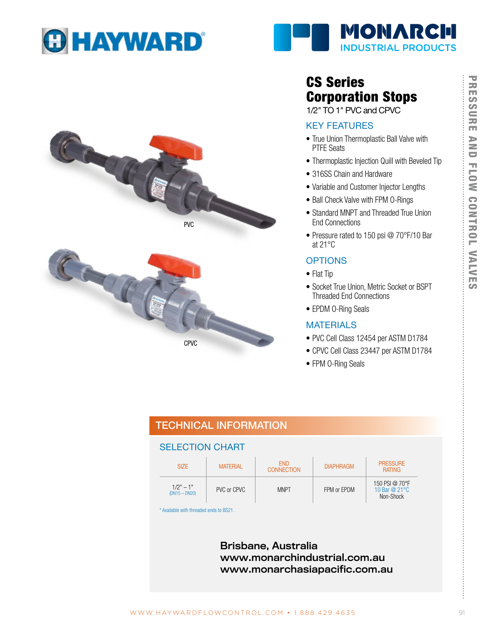





# CS Series Corporation Stops

1/2" TO 1" PVC and CPVC

### KEY FEATURES

- True Union Thermoplastic Ball Valve with PTFE Seats
- Thermoplastic Injection Quill with Beveled Tip
- 316SS Chain and Hardware
- Variable and Customer Injector Lengths
- Ball Check Valve with FPM O-Rings
- Standard MNPT and Threaded True Union End Connections
- Pressure rated to 150 psi @ 70°F/10 Bar at 21°C

### **OPTIONS**

- Flat Tip
- Socket True Union, Metric Socket or BSPT Threaded End Connections
- EPDM O-Ring Seals

### MATERIALS

- PVC Cell Class 12454 per ASTM D1784
- CPVC Cell Class 23447 per ASTM D1784
- FPM 0-Ring Seals

## TECHNICAL INFORMATION

### SELECTION CHART

CPVC

| <b>SIZE</b>                    | <b>FND</b><br><b>MATERIAL</b><br><b>CONNECTION</b> |             | <b>DIAPHRAGM</b> | <b>PRESSURE</b><br><b>RATING</b>                       |
|--------------------------------|----------------------------------------------------|-------------|------------------|--------------------------------------------------------|
| $1/2" - 1"$<br>$(DN15 - DN20)$ | PVC or CPVC                                        | <b>MNPT</b> | FPM or EPDM      | 150 PSI @ 70°F<br>10 Bar @ $21^{\circ}$ C<br>Non-Shock |

\* Available with threaded ends to BS21.

Brisbane, Australia www.monarchindustrial.com.au www.monarchasiapacific.com.au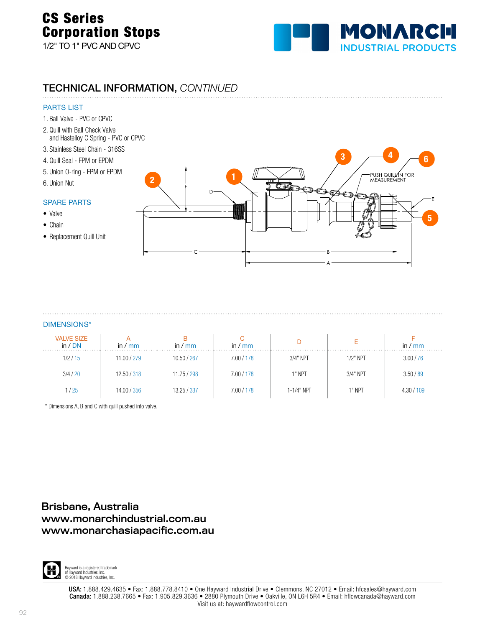# CS Series Corporation Stops 1/2" TO 1" PVC AND CPVC



### TECHNICAL INFORMATION, *CONTINUED*

### PARTS LIST

- 1. Ball Valve PVC or CPVC
- 2. Quill with Ball Check Valve and Hastelloy C Spring - PVC or CPVC
- 3. Stainless Steel Chain 316SS
- 4. Quill Seal FPM or EPDM
- 5. Union O-ring FPM or EPDM
- 6. Union Nut

### SPARE PARTS

- Valve
- Chain
- Replacement Quill Unit



### DIMENSIONS\*

| <b>VALVE SIZE</b><br>in / DN | in $\sqrt{mm}$ | $\prime$ mm<br>in $/$ | in / $mm$  |            |            | in $\sqrt{mm}$ |
|------------------------------|----------------|-----------------------|------------|------------|------------|----------------|
| 1/2/15                       | 11.00 / 279    | 10.50 / 267           | 7.00 / 178 | 3/4" NPT   | $1/2"$ NPT | 3.00 / 76      |
| 3/4/20                       | 12.50 / 318    | 11.75 / 298           | 7.00 / 178 | 1" NPT     | 3/4" NPT   | 3.50 / 89      |
| 1/25                         | 14.00 / 356    | 13.25 / 337           | 7.00 / 178 | 1-1/4" NPT | 1" NPT     | 4.30 / 109     |

\* Dimensions A, B and C with quill pushed into valve.

### Brisbane, Australia www.monarchindustrial.com.au www.monarchasiapacific.com.au

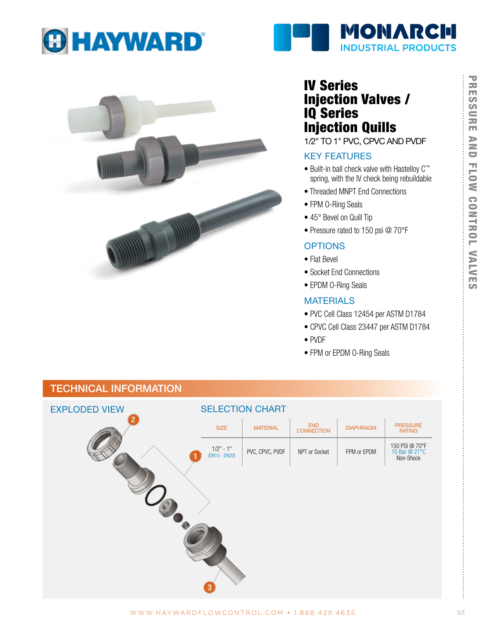



# IV Series Injection Valves / IQ Series Injection Quills

1/2" TO 1" PVC, CPVC AND PVDF

**MONARCH** 

**INDUSTRIAL PRODUCTS** 

### KEY FEATURES

- Built-in ball check valve with Hastelloy C™ spring, with the IV check being rebuildable
- Threaded MNPT End Connections
- FPM O-Ring Seals
- 45° Bevel on Quill Tip
- Pressure rated to 150 psi @ 70°F

### **OPTIONS**

- Flat Bevel
- Socket End Connections
- EPDM O-Ring Seals

### **MATERIALS**

- PVC Cell Class 12454 per ASTM D1784
- CPVC Cell Class 23447 per ASTM D1784
- PVDF
- FPM or EPDM O-Ring Seals

# EXPLODED VIEW SELECTION CHART SIZE | MATERIAL | END | DIAPHRAGM | PRESSURE<br>CONNECTION | DIAPHRAGM | RATING PRESSURE<br>RATING 1/2" - 1" PVC, CPVC, PVDF NPT or Socket FPM or EPDM 150 PSI @ 70°F 10 Bar @ 21°C Non-Shock

## TECHNICAL INFORMATION

ŧ